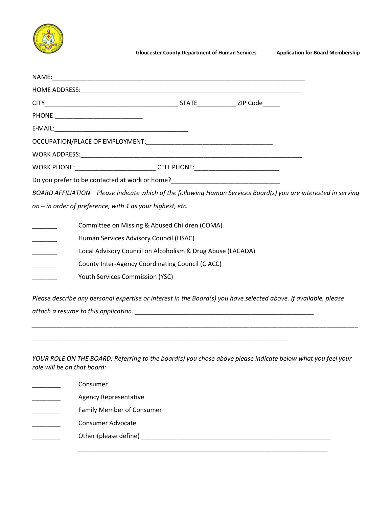

| WORK PHONE:________________________________CELL PHONE:__________________________ |                                                             |                                                                                                                  |  |
|----------------------------------------------------------------------------------|-------------------------------------------------------------|------------------------------------------------------------------------------------------------------------------|--|
|                                                                                  |                                                             | Do you prefer to be contacted at work or home?__________________________________                                 |  |
|                                                                                  |                                                             | BOARD AFFILIATION - Please indicate which of the following Human Services Board(s) you are interested in serving |  |
|                                                                                  | on $-$ in order of preference, with 1 as your highest, etc. |                                                                                                                  |  |
|                                                                                  |                                                             | Committee on Missing & Abused Children (COMA)                                                                    |  |
|                                                                                  |                                                             | Human Services Advisory Council (HSAC)                                                                           |  |
|                                                                                  |                                                             | Local Advisory Council on Alcoholism & Drug Abuse (LACADA)                                                       |  |
|                                                                                  |                                                             | County Inter-Agency Coordinating Council (CIACC)                                                                 |  |
|                                                                                  | <b>Youth Services Commission (YSC)</b>                      |                                                                                                                  |  |
|                                                                                  |                                                             |                                                                                                                  |  |

*Please describe any personal expertise or interest in the Board(s) you have selected above. If available, please attach a resume to this application. \_\_\_\_\_\_\_\_\_\_\_\_\_\_\_\_\_\_\_\_\_\_\_\_\_\_\_\_\_\_\_\_\_\_\_\_\_\_\_\_\_\_\_\_\_\_\_\_\_\_\_* 

*\_\_\_\_\_\_\_\_\_\_\_\_\_\_\_\_\_\_\_\_\_\_\_\_\_\_\_\_\_\_\_\_\_\_\_\_\_\_\_\_\_\_\_\_\_\_\_\_\_\_\_\_\_\_\_\_\_\_\_\_\_\_\_\_\_\_\_\_\_\_\_\_\_*

*\_\_\_\_\_\_\_\_\_\_\_\_\_\_\_\_\_\_\_\_\_\_\_\_\_\_\_\_\_\_\_\_\_\_\_\_\_\_\_\_\_\_\_\_\_\_\_\_\_\_\_\_\_\_\_\_\_\_\_\_\_\_\_\_\_\_\_\_\_\_\_\_\_\_\_\_\_\_\_\_\_\_\_\_\_\_\_\_\_\_\_\_\_* 

*YOUR ROLE ON THE BOARD: Referring to the board(s) you chose above please indicate below what you feel your role will be on that board:*

| Consumer                         |  |  |
|----------------------------------|--|--|
| <b>Agency Representative</b>     |  |  |
| <b>Family Member of Consumer</b> |  |  |
| Consumer Advocate                |  |  |
|                                  |  |  |
|                                  |  |  |